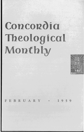# Concordia **Theological Monthly .**.



FEBRUARY • 1959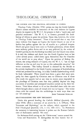# THEOLOGICAL OBSERVER

#### THE CHURCH AND THE POLITICAL SITUATION IN CYPRUS

*Theology Today* (October 1958) points out that the Greek Catholic Church cannot establish its innocence of the civil violence in Cyprus despite its request to the W. C. C. for prayers to find a "rapid, just, and peaceful settlement." The W. C. C. at Geneva promised the Archbishop of Athens to grant his petition. Upon this, however, the writer in *Theology Today* comments: "There is no record that at any time since violence first began on Cyprus the Greek Church or any of its leaders has spoken against the use of murder as a political weapon. Death and grave injury have come to Turkish policemen, whose duties were ordinary police duties and in no way political, by the action of Greek Cypriots, but the Archbishop was silent and the Church was silent. It is only the violence and death that the Greek Cypriots have at last (after several years) called down upon themselves that the Churches of the world are to pray about." Upon the petition of Bishop Anthimos, the acting ethnarch of Cyprus, that the W. C. C. "use its high influence so that an end may be put to this unbearable situation," the writer comments: "The bishop himself is claimed by the British to be actively implicated in the Greek Cypriot campaign of bushwhacking which has persisted for so long. It is only Turkish bushwhacking which he finds 'unbearable: There would have been a great deal more sympathy for these appeals by Christian men to Christian men if those who made the appeals had at any time in recent years responded to the pleadings of Christian men that they publicly deplore the long succession of murders and attempted murders carried out by their followers. Their blunt refusal to do so has identified them with the acts which brought about a state of virtual civil war in Cyprus." The writer closes with the remark that the archbishops in more ways than one are "all mixed up." JOHN THEODORE MUELLER

#### DEMYTHOLOGIZING THE NEW TESTAMENT

Under this general heading the *Catholic Biblical Quarterly* (October 1958) offers a summary of an article by J. A. O'Flynn, "New Testament and Mythology," on the subject, which appeared in the *Irish Theological Quarterly* (24, 1-12; 109-121). To Protestants the summary is interesting because it points out the Roman Catholic view of Bultmann's method. We read:

For Bultmann God's saving act, the "Christ-event," centers around the Cross and Resurrection. B. distinguishes the bare historic fact of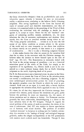the Cross *(historisches Ereignis)* from its *geschichtliches* and *eschatologisches* aspect, whereby it becomes for men an ever-present reality, a salvation-event, mediating to the believer God's liberating judgment. This saving significance of the Cross lies beyond the reach of rational proof and objective demonstration, and thus of criticism; it is contained solely in the preaching of the Word of God, confronting the individual with the challenge to decide for or against it, to accept or reject. Hence for the old "mythical" categories of redeeming sacrifice, ransom, satisfaction, etc., we must substitute the idea of encounter, confrontation, and decision. How exactly does the Cross as preached mediate saving virtue to us? "The Cross, properly understood, . . . reveals to us at once the full extent of our fallen condition as sinners subject to the powers of the world and our utter incapacity to rise above that condition by reliance merely on our powers; to that extent it is a judgment of condemnation. . . . But it is also a liberating judgment because ... it also makes known that what we cannot do for ourselves God does for us when, in the encounter with the Christian message, the believer takes the decision to throw himself open to the love of God" (pp. 10-12). The Resurrection is intimately linked with the Cross in the saving message of preaching  $-$  not as a historical miraculous proof of the virtue of the Cross, but simply as the expression of *its* significance, viz., Christ's death *is* not to be considered as a mere ordinary human death, but as God's liberating judgment on the world, depriving death of its power.

For B. the Resurrection is not a historical event; its place in the Christian message is to present the Cross of Christ as the salvation-event, not merely a condemnatory, but also a liberating, judgment. To the same eschatological salvation-event pertain the word of preaching, the apostolic preacher, even the Church in which the word is proclaimed. Faith rests on no signs; it is *nuda /ides,* a heroic decision to appropriate the salvation-event, God's approach to man by Christ. B.'s views, for all that they impoverish the Christian message, have aroused wide interest, partly because his intentions are good, partly because the problems he raises are important, viz., the nature of divine revelation and its relation to history. Yet Protestant reaction generally has been unfavorable; demythologizing is a threat to the basic salvation facts of the NT kerygma. Though B. regards the actual problem of the notion of myth as secondary, his choice of the term is unfortunate: [the} NT uses mythos to denote speculations out of harmony with sound doctrine. The problem of so-called "mythical elements" in Scripture is nothing new for Catholic scholarship; due attention to the "analogy of being" and analogical language generally, makes the alleged incompatibility of the NT presentation with modern man's outlook much less formidable. Though B. does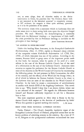not, as some allege, deny all objective reality to the divine intervention in Christ, his postulate that "the Christian Easter faith is not interested in the historical question" is completely contrary to NT evidence; his exegesis is often quite arbitrary, governed as it is by the postulates of his system.

The summary closes with a statement which to Lutherans does not make sense since to them saving faith rests upon the objective Gospel promises. We read: "However, his demythologizing is essentially linked with the Reformers' theology  $-a$  'requirement of faith itself'; the crisis provoked by him in Protestant theology is insoluble on the principles of that theology." JOHN THEODORE MUELLER

### "AN ANSWER TO PETER BRUNNER"

Under this heading Hans Asmussen, in the *Evangelisch-Lutherische Kirchenzeitung* (Nov. 15, 1958), replies to Brunner's sharp criticism of the composite volume *Katholische Reformation* (cf. CTM, Dec., 1958), of which Asmussen was one of the authors. According to Asmussen, Brunner failed to grasp some of the important points made in that book; for instance, when he speaks of the need of a mere reform in the case of the Roman Catholic Church but of the need of a reformation in the case of the Lutheran Church. Asmussen takes occasion to express his preference for the Roman Catholic Church to most of the churches in the World Council of Churches by enumerating the following points: the real presence in Holy Communion, the office of the ministry, and the efficacy of the Word and the liturgy *(ritus)*, in all of which he believes the Roman Catholic Church to be closer to the Lutheran than are most of the churches in the World Council of Churches. In the latter he senses a concentration of antichristianity in conflict with Article XVII of the Augsburg Confession. This moves him to say: "Why should I deny that I am drawn thither, where one is not ashamed of the martyrs?" He regards the differences between himself and Brunner sufficiently important to call for a discussion face to face.

The most important question is: How close is Rome to the Lutheran Church with respect to the doctrine of justification by faith? Where this question is ignored nothing else matters. L.W. SPITZ

## BRIEF ITEMS FROM NATIONAL LUTHERAN COUNCIL

*Turku, Finland.* - The Church Assembly, legislative organ of the Evangelical Lutheran Church of Finland, postponed action here on the knotty problem of admitting women to the ministry. By a vote of 75 to 45, delegates to the quinquennial conference recommitted the issue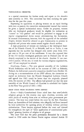to a special committee for further study and report to the church's next assembly in 1963. The committee has been studying the question for the past five years.

Expressing its opposition to placing women on an equal footing with men as pastors, the committee recommended instead that women be given a special ecclesiastical status. Under its proposal, women who are theological graduates would be eligible for ordination as "curates" or "vice pastors" and would be permitted to engage in all regular congregational duties except administering the Sacraments. In unusual circumstances, however, with the approval of the cathedral chapter, women would be allowed to give Communion to persons in hospitals and prisons who cannot attend regular church services.

A high proportion of women are studying at the theological facul*ties* of the Finnish Church, 91 at Helsinki, and six at Turku, it was reported, but the number has dropped over recent years from  $33\frac{1}{3}$ per cent to 28 per cent of the enrollment. It was also reported that of the 252 women theological graduates now in Finland only 42 are directly employed in the service of the church. Another 51 are married to pastors. Of the rest, 32 work for various religious organizations, and 110 are employed in schools.

*Strasbourg, France.* - The next general assembly of the Lutheran World Federation will be held in the summer of 1963 at Helsinki, Finland, the federation's executive committee decided here, October 30. Acting on a recommendation of the LWF officers, the committee accepted an invitation from the Finnish Evangelical Lutheran Church and agreed that 1963 would be better than the originally planned time, the summer of 1962. The officers had pointed out that the next assembly of the World Council of Churches is scheduled for Ceylon in the New Year period of 1961-1962.

# BRIEF ITEMS FROM RELIGIOUS NEWS SERVICE

*Rome.* - Italy's Constitutional Court ruled here that non-Catholic religious groups in this country may open churches, oratories, and other places of worship from now on without prior government permission. The issue was raised before the court by the Rev. Francesco Rauti, an Assemblies of God minister, who allegedly had been harassed by local authorities for opening places of worship without previous authorization. Three lawyers appeared before the court and claimed for evangelicals the right of "strict application of constitutional principles" granting freedom of religion to all groups.

The court held that the prior permission demanded by a decree issued in 1930 under the former Fascist regime violated Article 19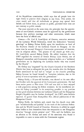of the Republican constitution, which says that all people have the right freely to practice their religion in any form. This article, the court stated, said that all individuals or groups may spread their beliefs and follow them, in private or public, provided their rites are not contrary to public morals.

The court rejected, at the same time, the principle that the appointment of non-Catholic ministers must be approved by the government because they perform marriage and other ceremonies, which must have the force of official acts.

Geneva. - Dr. Carl E. Lund-Quist of Geneva, executive secretary of the Lutheran World Federation, wired the federation's "warmest greetings" to Bishop Zoltan Kaldy upon his installation as head of the Southern District of the Lutheran Church in Hungary. At the same time he accused Hungary's Communist government of intervention in religious affairs. "The prayers of the church go with you," Dr. Lund -Quist assured Bishop Kaldy. He added, however, that the LWF regarded the removal of former Bishop Lajos Ordass, one of Hungary's staunchest anti-Communist religious leaders, as a "unilateral government act in displacing the Lutheran leader who was trusted by the Church."

Dr. Ordass was "requested" by the Church Council of the Southern District last June to relinquish his post, five months after the Budapest Radio announced he had had to "resign" as the church's presiding bishop because he found himself in "complete isolation, due to his policy of non-co-operation with the government."

Bishop Kaldy, a 39-year-old bachelor, was elected to his new office last October with the approval of the Communist government. He had been senior pastor at Pees since 1954 and was said to have enjoyed a wide popularity among his fellow ministers. In his installation sermon the bishop promised "to do everything possible in my position so that good relations between our Lutheran Church and the Hungarian People's Republic may be further developed," the LWF news bulletin reported. It quoted from *Evangelikus Elet*, official publication of the Hungarian Church.

Bishop Kaldy, the bulletin said, stated that his church must take part "wholeheartedly and joyfully" in the work of the Lutheran Federation and the World Council of Churches. However, it added, he urged these bodies to free themselves from the temptation to see Hungarian churches "through certain persons' eyes." This, said the bulletin, was an allusion to Dr. Ordass and some of his associates who found it impossible to come to terms with the Communist regime.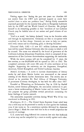#### THEOLOGICAL OBSERVER 145

Voicing regret that "during the past two years our churches did not receive from the LWF such spiritual support as could have enabled them to solve our problems here," Bishop Kaldy meanwhile expressed gratitude for the material help given to Hungarian Lutherans both by the LWF and the World Council of Churches. He pledged himself to do everything possible so that "members of our Lutheran Church may be faithful sons of our nation and good citizens of our country."

"God is at work," the bishop declared, "even in the Socialist order and through its representatives. Christians are free to co-operate with everybody in the best things. Certainly we want to help our nation, with every means and in everything good, to develop Socialism."

*Thousand Oaks, Calif.-A* new \$15 million Lutheran university here will be named Ventura University after the county in which it will be situated. The name was selected by the board of governors of the California Lutheran Educational Foundation, which is composed of representatives of five Lutheran denominations supporting the institution.

While the entire campus will not be completed for 15 years, the first section, to cost  $$4,000,000$  will be opened in 1961 or 1962. The completed university will cover 206 acres 45 miles northwest of Los Angeles. Supporting the university are the Augustana, Evangelical, American, United Evangelical, and United Lutheran churches.

*Munich, Germany.* - A move to increase dissemination of literary works by and about Martin Luther was announced at the annual meeting of the Martin Luther Association here. The society also reelected as its president Dr. Paul Althaus of Erlangen University. A prominent Lutheran theologian, he has held the office since 1927.

Founded at Wittenberg on Reformation Day in 1918 by Rudolf Eucken, noted German philosopher, the association endeavors to promote a better understanding of Martin Luther and his works. Toward this purpose the group publishes several periodicals containing the latest findings of Luther research.

The association suspended activities during World War II but was reactivated in Hamburg in 1953.

*Washington, D. C.* - The United States Supreme Court ruled here that a wife may not be permitted to testify in court against her husband, even if she wants to. In a unanimous opinion delivered by Associate Justice Hugo 1. Black the court held that to do so would jeopardize the sanctity of marriage.

U. S. courts have long followed the common law rule that husbands or wives may not be compelled by a court to testify against each other.